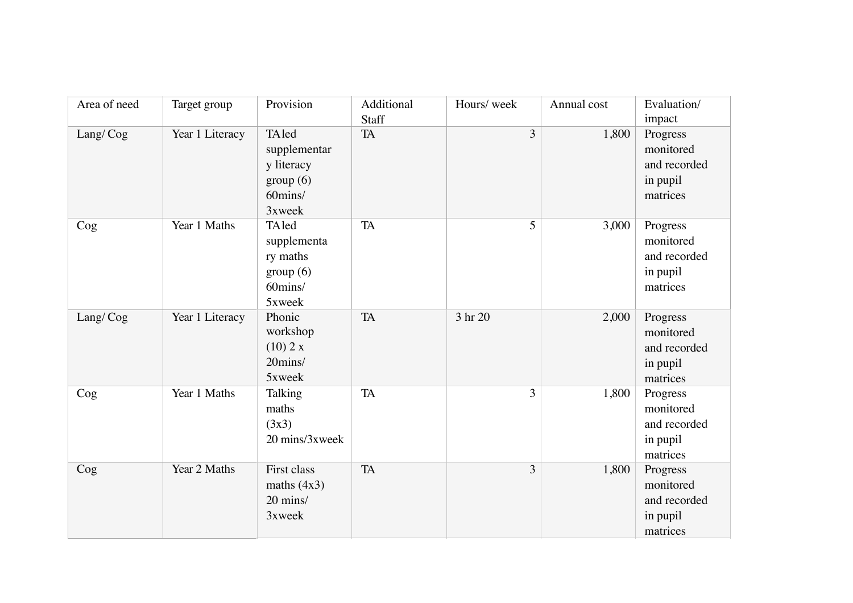| Area of need | Target group    | Provision                                                            | Additional<br>Staff | Hours/week | Annual cost | Evaluation/<br>impact                                         |
|--------------|-----------------|----------------------------------------------------------------------|---------------------|------------|-------------|---------------------------------------------------------------|
| Lang/Cog     | Year 1 Literacy | TAled<br>supplementar<br>y literacy<br>group(6)<br>60mins/<br>3xweek | <b>TA</b>           | 3          | 1,800       | Progress<br>monitored<br>and recorded<br>in pupil<br>matrices |
| Cog          | Year 1 Maths    | TAled<br>supplementa<br>ry maths<br>group(6)<br>60mins/<br>5xweek    | <b>TA</b>           | 5          | 3,000       | Progress<br>monitored<br>and recorded<br>in pupil<br>matrices |
| Lang/Cog     | Year 1 Literacy | Phonic<br>workshop<br>(10) 2 x<br>20mins/<br>5xweek                  | <b>TA</b>           | 3 hr 20    | 2,000       | Progress<br>monitored<br>and recorded<br>in pupil<br>matrices |
| Cog          | Year 1 Maths    | Talking<br>maths<br>(3x3)<br>20 mins/3xweek                          | <b>TA</b>           | 3          | 1,800       | Progress<br>monitored<br>and recorded<br>in pupil<br>matrices |
| Cog          | Year 2 Maths    | First class<br>maths $(4x3)$<br>20 mins/<br>3xweek                   | <b>TA</b>           | 3          | 1,800       | Progress<br>monitored<br>and recorded<br>in pupil<br>matrices |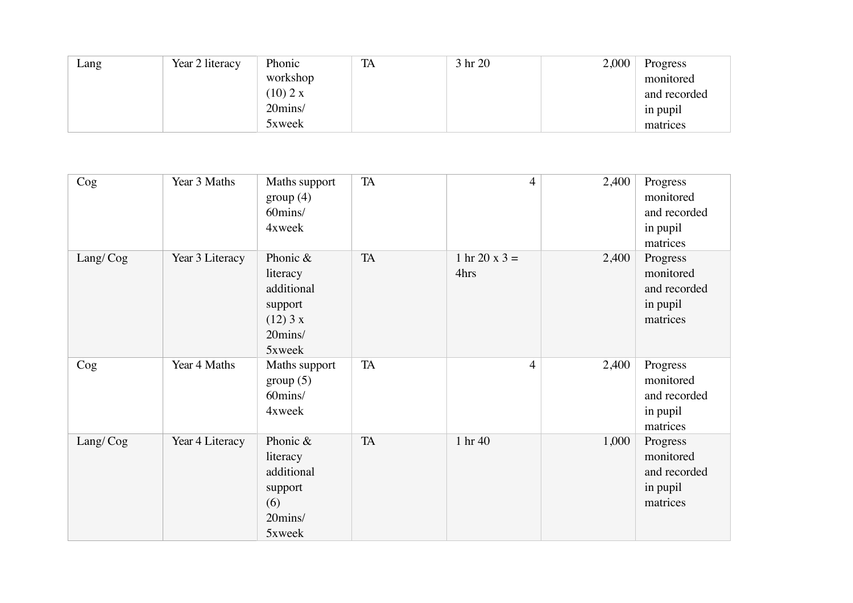| Lang | Year 2 literacy | Phonic   | TA | 3 hr 20 | 2,000 | Progress     |
|------|-----------------|----------|----|---------|-------|--------------|
|      |                 | workshop |    |         |       | monitored    |
|      |                 | (10) 2 x |    |         |       | and recorded |
|      |                 | 20mins/  |    |         |       | in pupil     |
|      |                 | 5xweek   |    |         |       | matrices     |

| Cog      | Year 3 Maths    | Maths support<br>group(4)<br>60mins/<br>4xweek                                   | <b>TA</b>  | $\overline{4}$        | 2,400 | Progress<br>monitored<br>and recorded<br>in pupil<br>matrices |
|----------|-----------------|----------------------------------------------------------------------------------|------------|-----------------------|-------|---------------------------------------------------------------|
| Lang/Cog | Year 3 Literacy | Phonic &<br>literacy<br>additional<br>support<br>$(12)$ 3 x<br>20mins/<br>5xweek | ${\rm TA}$ | 1 hr 20 x 3 =<br>4hrs | 2,400 | Progress<br>monitored<br>and recorded<br>in pupil<br>matrices |
| Cog      | Year 4 Maths    | Maths support<br>group(5)<br>60mins/<br>4xweek                                   | TA         | $\overline{4}$        | 2,400 | Progress<br>monitored<br>and recorded<br>in pupil<br>matrices |
| Lang/Cog | Year 4 Literacy | Phonic &<br>literacy<br>additional<br>support<br>(6)<br>20mins/<br>5xweek        | <b>TA</b>  | 1 hr 40               | 1,000 | Progress<br>monitored<br>and recorded<br>in pupil<br>matrices |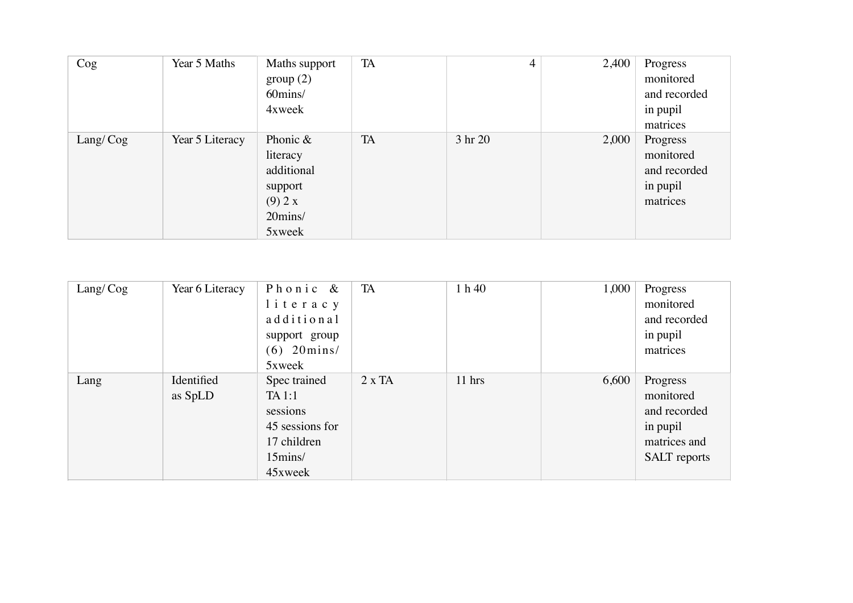| $\log$   | Year 5 Maths    | Maths support<br>group(2)<br>60mins/<br>4xweek                                   | TA        | 4       | 2,400 | Progress<br>monitored<br>and recorded<br>in pupil<br>matrices |
|----------|-----------------|----------------------------------------------------------------------------------|-----------|---------|-------|---------------------------------------------------------------|
| Lang/Cog | Year 5 Literacy | Phonic $\&$<br>literacy<br>additional<br>support<br>(9) 2 x<br>20mins/<br>5xweek | <b>TA</b> | 3 hr 20 | 2,000 | Progress<br>monitored<br>and recorded<br>in pupil<br>matrices |

| Lang/Cog | Year 6 Literacy       | Phonic &<br>literacy<br>additional<br>support group<br>$(6)$ 20 $mins/$<br>5xweek          | TA            | 1 h 40   | 1,000 | Progress<br>monitored<br>and recorded<br>in pupil<br>matrices                            |
|----------|-----------------------|--------------------------------------------------------------------------------------------|---------------|----------|-------|------------------------------------------------------------------------------------------|
| Lang     | Identified<br>as SpLD | Spec trained<br>TA 1:1<br>sessions<br>45 sessions for<br>17 children<br>15mins/<br>45xweek | $2 \times TA$ | $11$ hrs | 6,600 | Progress<br>monitored<br>and recorded<br>in pupil<br>matrices and<br><b>SALT</b> reports |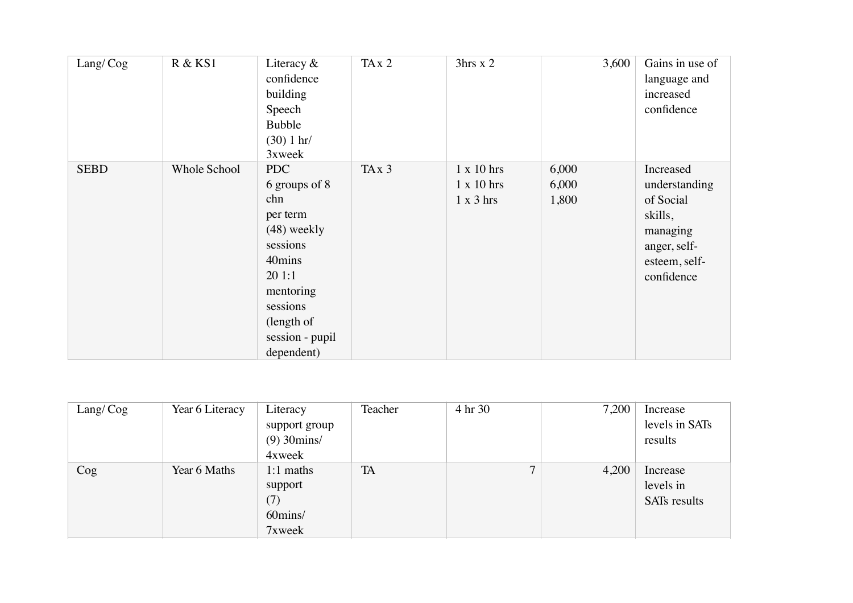| Lang/Cog    | R & KS1             | Literacy $&$<br>confidence<br>building<br>Speech<br><b>Bubble</b><br>(30) 1 hr/<br>3xweek                                                                       | TAx2              | 3hrs x 2                                                   | 3,600                   | Gains in use of<br>language and<br>increased<br>confidence                                                    |
|-------------|---------------------|-----------------------------------------------------------------------------------------------------------------------------------------------------------------|-------------------|------------------------------------------------------------|-------------------------|---------------------------------------------------------------------------------------------------------------|
| <b>SEBD</b> | <b>Whole School</b> | PDC<br>6 groups of 8<br>chn<br>per term<br>$(48)$ weekly<br>sessions<br>40mins<br>201:1<br>mentoring<br>sessions<br>(length of<br>session - pupil<br>dependent) | TA <sub>x</sub> 3 | $1 \times 10$ hrs<br>$1 \times 10$ hrs<br>$1 \times 3$ hrs | 6,000<br>6,000<br>1,800 | Increased<br>understanding<br>of Social<br>skills,<br>managing<br>anger, self-<br>esteem, self-<br>confidence |

| Lang/Cog | Year 6 Literacy | Literacy                | Teacher   | 4 hr 30      | 7,200 | Increase       |
|----------|-----------------|-------------------------|-----------|--------------|-------|----------------|
|          |                 | support group           |           |              |       | levels in SATs |
|          |                 | $(9)$ 30 $\text{mins/}$ |           |              |       | results        |
|          |                 | 4xweek                  |           |              |       |                |
| Cog      | Year 6 Maths    | $1:1$ maths             | <b>TA</b> | $\mathbf{r}$ | 4,200 | Increase       |
|          |                 | support                 |           |              |       | levels in      |
|          |                 | (7)                     |           |              |       | SATs results   |
|          |                 | 60mins/                 |           |              |       |                |
|          |                 | 7xweek                  |           |              |       |                |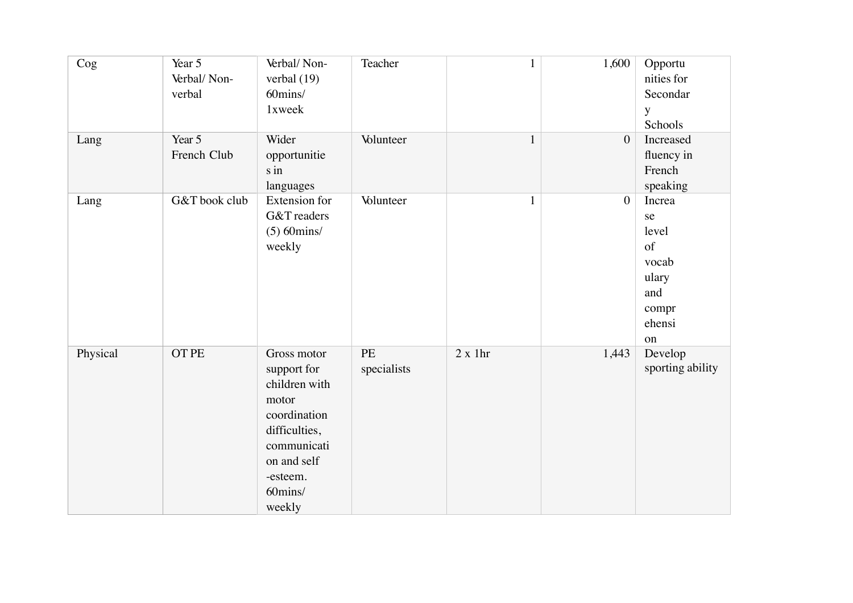| Cog      | Year 5<br>Verbal/Non-<br>verbal | Verbal/Non-<br>verbal $(19)$<br>60mins/<br>1xweek                                                                                                    | Teacher                  | $\mathbf{1}$ | 1,600        | Opportu<br>nities for<br>Secondar<br>y<br>Schools                             |
|----------|---------------------------------|------------------------------------------------------------------------------------------------------------------------------------------------------|--------------------------|--------------|--------------|-------------------------------------------------------------------------------|
| Lang     | Year 5<br>French Club           | Wider<br>opportunitie<br>s in<br>languages                                                                                                           | Volunteer                | $\mathbf 1$  | $\mathbf{0}$ | Increased<br>fluency in<br>French<br>speaking                                 |
| Lang     | G&T book club                   | <b>Extension</b> for<br>G&T readers<br>$(5)$ 60 $\text{mins/}$<br>weekly                                                                             | Volunteer                | $\mathbf{1}$ | $\mathbf{0}$ | Increa<br>se<br>level<br>of<br>vocab<br>ulary<br>and<br>compr<br>ehensi<br>on |
| Physical | <b>OT PE</b>                    | Gross motor<br>support for<br>children with<br>motor<br>coordination<br>difficulties,<br>communicati<br>on and self<br>-esteem.<br>60mins/<br>weekly | <b>PE</b><br>specialists | 2 x 1hr      | 1,443        | Develop<br>sporting ability                                                   |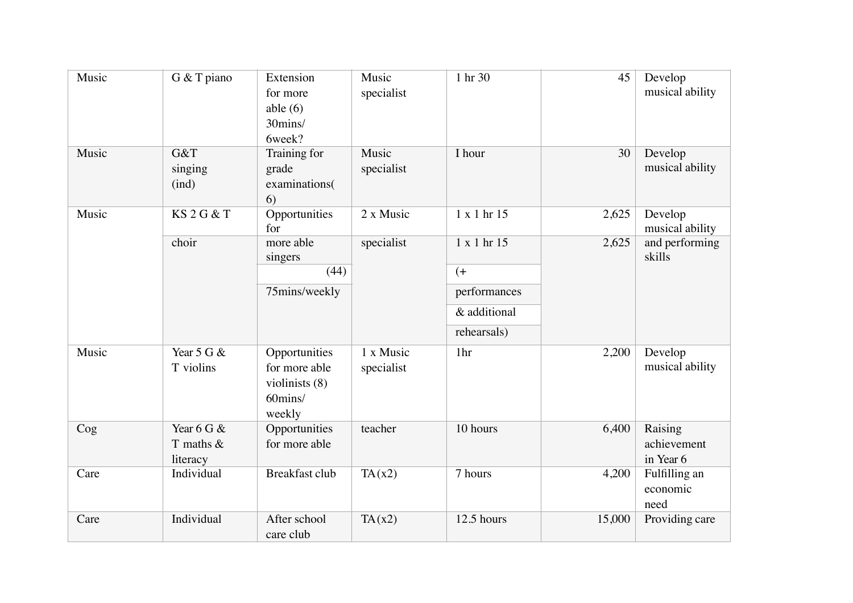| Music | G & T piano                              | Extension<br>for more<br>able $(6)$<br>30mins/<br>6week?              | Music<br>specialist     | 1 hr 30      | 45     | Develop<br>musical ability          |
|-------|------------------------------------------|-----------------------------------------------------------------------|-------------------------|--------------|--------|-------------------------------------|
| Music | G&T<br>singing<br>(ind)                  | Training for<br>grade<br>examinations(<br>6)                          | Music<br>specialist     | I hour       | 30     | Develop<br>musical ability          |
| Music | <b>KS2G&amp;T</b>                        | Opportunities<br>for                                                  | 2 x Music               | 1 x 1 hr 15  | 2,625  | Develop<br>musical ability          |
|       | choir                                    | more able<br>singers                                                  | specialist              | 1 x 1 hr 15  | 2,625  | and performing<br>skills            |
|       |                                          | (44)                                                                  |                         | $($ +        |        |                                     |
|       |                                          | 75mins/weekly                                                         |                         | performances |        |                                     |
|       |                                          |                                                                       |                         | & additional |        |                                     |
|       |                                          |                                                                       |                         | rehearsals)  |        |                                     |
| Music | Year $5 \text{ G} \&$<br>T violins       | Opportunities<br>for more able<br>violinists (8)<br>60mins/<br>weekly | 1 x Music<br>specialist | 1hr          | 2,200  | Develop<br>musical ability          |
| Cog   | Year 6 G $\&$<br>T maths $&$<br>literacy | Opportunities<br>for more able                                        | teacher                 | 10 hours     | 6,400  | Raising<br>achievement<br>in Year 6 |
| Care  | Individual                               | <b>Breakfast club</b>                                                 | TA(x2)                  | 7 hours      | 4,200  | Fulfilling an<br>economic<br>need   |
| Care  | Individual                               | After school<br>care club                                             | TA(x2)                  | 12.5 hours   | 15,000 | Providing care                      |